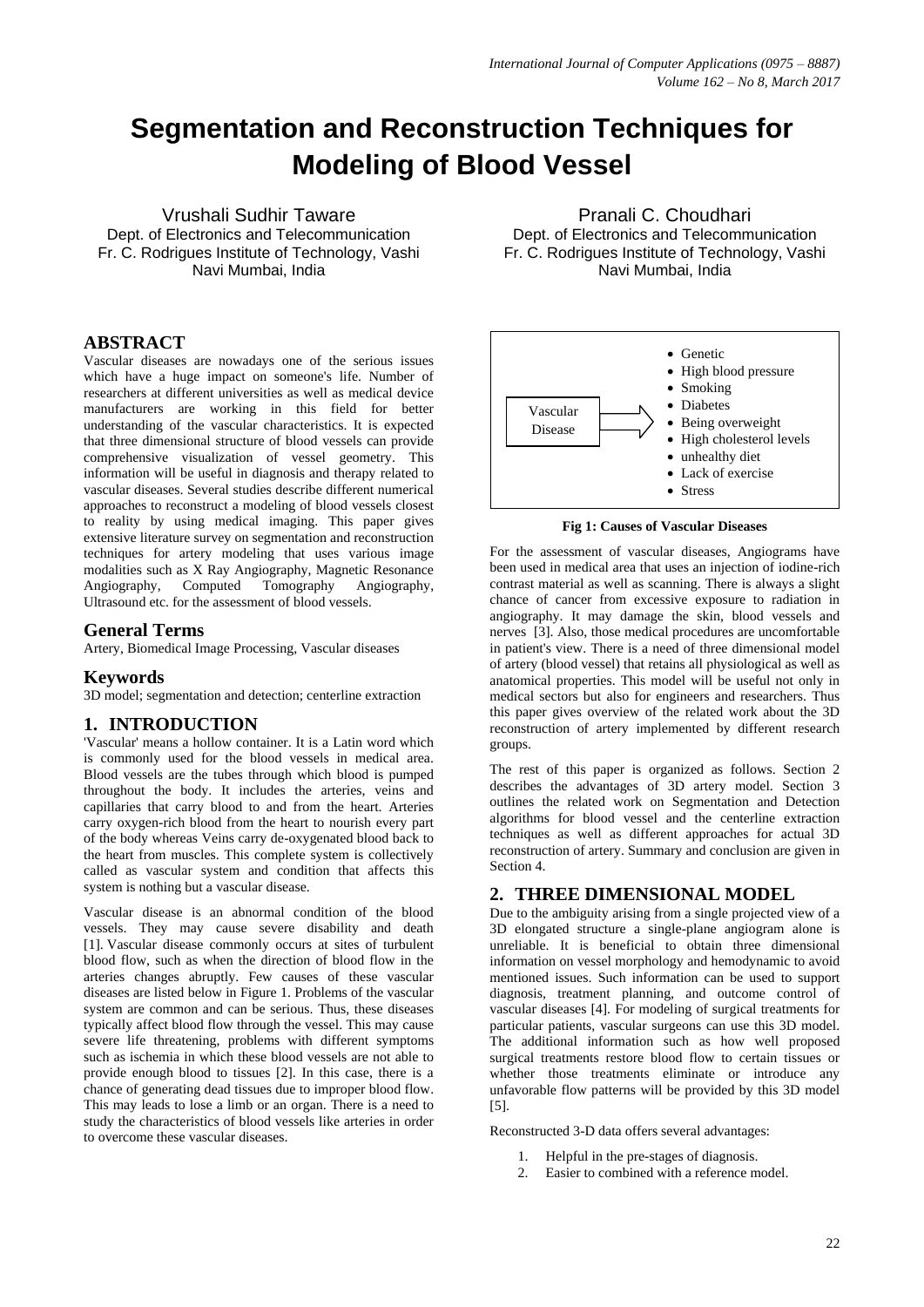# **Segmentation and Reconstruction Techniques for Modeling of Blood Vessel**

Vrushali Sudhir Taware Dept. of Electronics and Telecommunication Fr. C. Rodrigues Institute of Technology, Vashi Navi Mumbai, India

## **ABSTRACT**

Vascular diseases are nowadays one of the serious issues which have a huge impact on someone's life. Number of researchers at different universities as well as medical device manufacturers are working in this field for better understanding of the vascular characteristics. It is expected that three dimensional structure of blood vessels can provide comprehensive visualization of vessel geometry. This information will be useful in diagnosis and therapy related to vascular diseases. Several studies describe different numerical approaches to reconstruct a modeling of blood vessels closest to reality by using medical imaging. This paper gives extensive literature survey on segmentation and reconstruction techniques for artery modeling that uses various image modalities such as X Ray Angiography, Magnetic Resonance<br>Angiography, Computed Tomography Angiography,  $T$ omography Ultrasound etc. for the assessment of blood vessels.

### **General Terms**

Artery, Biomedical Image Processing, Vascular diseases

### **Keywords**

3D model; segmentation and detection; centerline extraction

### **1. INTRODUCTION**

'Vascular' means a hollow container. It is a Latin word which is commonly used for the blood vessels in medical area. Blood vessels are the tubes through which blood is pumped throughout the body. It includes the arteries, veins and capillaries that carry blood to and from the heart. Arteries carry oxygen-rich blood from the heart to nourish every part of the body whereas Veins carry de-oxygenated blood back to the heart from muscles. This complete system is collectively called as vascular system and condition that affects this system is nothing but a vascular disease.

Vascular disease is an abnormal condition of the blood vessels. They may cause severe disability and death [1]. Vascular disease commonly occurs at sites of turbulent blood flow, such as when the direction of blood flow in the arteries changes abruptly. Few causes of these vascular diseases are listed below in Figure 1. Problems of the vascular system are common and can be serious. Thus, these diseases typically affect blood flow through the vessel. This may cause severe life threatening, problems with different symptoms such as ischemia in which these blood vessels are not able to provide enough blood to tissues [2]. In this case, there is a chance of generating dead tissues due to improper blood flow. This may leads to lose a limb or an organ. There is a need to study the characteristics of blood vessels like arteries in order to overcome these vascular diseases.

Pranali C. Choudhari Dept. of Electronics and Telecommunication Fr. C. Rodrigues Institute of Technology, Vashi Navi Mumbai, India



**Fig 1: Causes of Vascular Diseases**

For the assessment of vascular diseases, Angiograms have been used in medical area that uses an injection of iodine-rich contrast material as well as scanning. There is always a slight chance of cancer from excessive exposure to radiation in angiography. It may damage the skin, blood vessels and nerves [3]. Also, those medical procedures are uncomfortable in patient's view. There is a need of three dimensional model of artery (blood vessel) that retains all physiological as well as anatomical properties. This model will be useful not only in medical sectors but also for engineers and researchers. Thus this paper gives overview of the related work about the 3D reconstruction of artery implemented by different research groups.

The rest of this paper is organized as follows. Section 2 describes the advantages of 3D artery model. Section 3 outlines the related work on Segmentation and Detection algorithms for blood vessel and the centerline extraction techniques as well as different approaches for actual 3D reconstruction of artery. Summary and conclusion are given in Section 4.

### **2. THREE DIMENSIONAL MODEL**

Due to the ambiguity arising from a single projected view of a 3D elongated structure a single-plane angiogram alone is unreliable. It is beneficial to obtain three dimensional information on vessel morphology and hemodynamic to avoid mentioned issues. Such information can be used to support diagnosis, treatment planning, and outcome control of vascular diseases [4]. For modeling of surgical treatments for particular patients, vascular surgeons can use this 3D model. The additional information such as how well proposed surgical treatments restore blood flow to certain tissues or whether those treatments eliminate or introduce any unfavorable flow patterns will be provided by this 3D model [5].

Reconstructed 3-D data offers several advantages:

- 1. Helpful in the pre-stages of diagnosis.
- 2. Easier to combined with a reference model.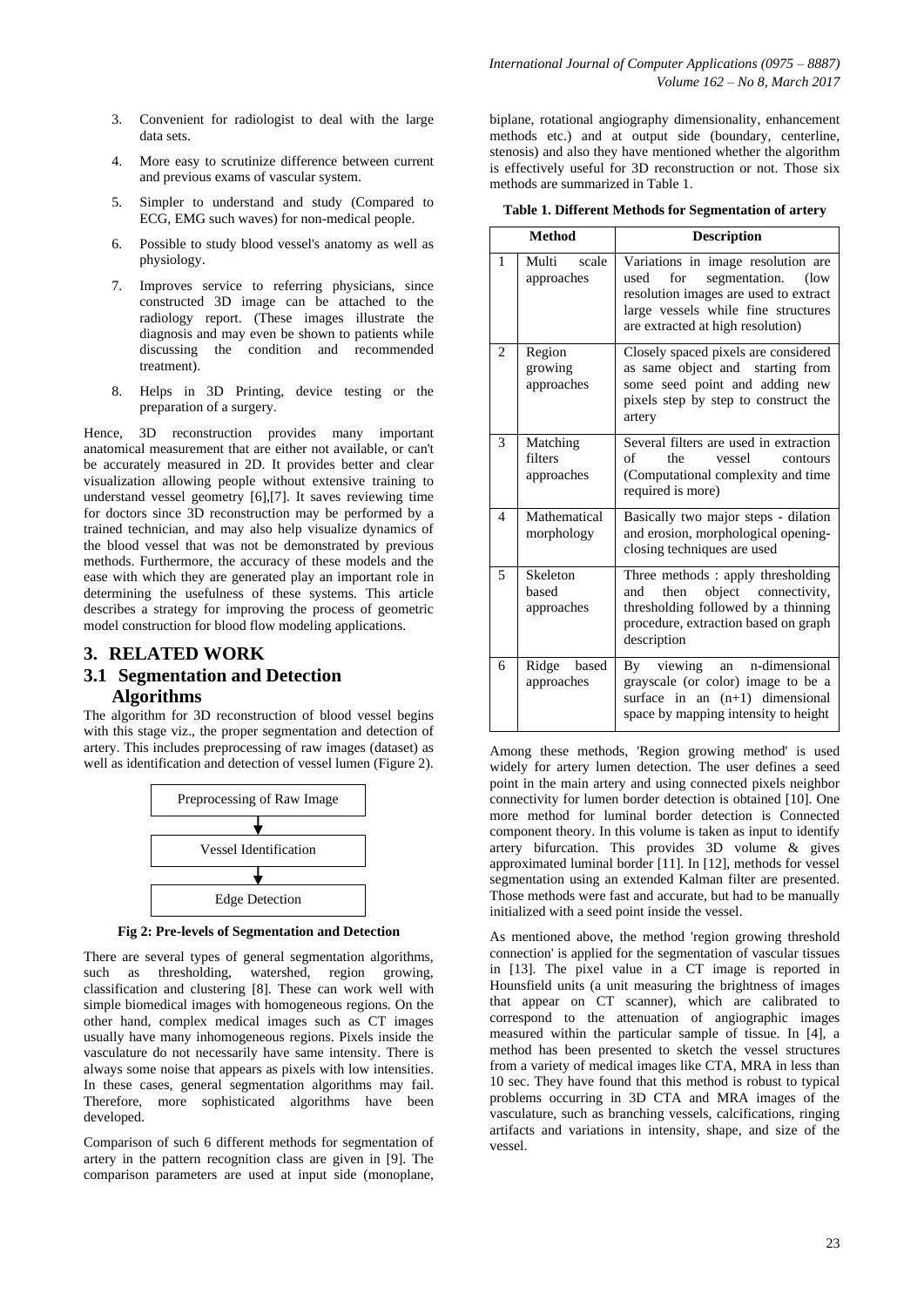- 3. Convenient for radiologist to deal with the large data sets.
- 4. More easy to scrutinize difference between current and previous exams of vascular system.
- 5. Simpler to understand and study (Compared to ECG, EMG such waves) for non-medical people.
- 6. Possible to study blood vessel's anatomy as well as physiology.
- 7. Improves service to referring physicians, since constructed 3D image can be attached to the radiology report. (These images illustrate the diagnosis and may even be shown to patients while discussing the condition and recommended treatment).
- 8. Helps in 3D Printing, device testing or the preparation of a surgery.

Hence, 3D reconstruction provides many important anatomical measurement that are either not available, or can't be accurately measured in 2D. It provides better and clear visualization allowing people without extensive training to understand vessel geometry [6],[7]. It saves reviewing time for doctors since 3D reconstruction may be performed by a trained technician, and may also help visualize dynamics of the blood vessel that was not be demonstrated by previous methods. Furthermore, the accuracy of these models and the ease with which they are generated play an important role in determining the usefulness of these systems. This article describes a strategy for improving the process of geometric model construction for blood flow modeling applications.

## **3. RELATED WORK**

### **3.1 Segmentation and Detection Algorithms**

The algorithm for 3D reconstruction of blood vessel begins with this stage viz., the proper segmentation and detection of artery. This includes preprocessing of raw images (dataset) as well as identification and detection of vessel lumen (Figure 2).



**Fig 2: Pre-levels of Segmentation and Detection**

There are several types of general segmentation algorithms, such as thresholding, watershed, region growing, classification and clustering [8]. These can work well with simple biomedical images with homogeneous regions. On the other hand, complex medical images such as CT images usually have many inhomogeneous regions. Pixels inside the vasculature do not necessarily have same intensity. There is always some noise that appears as pixels with low intensities. In these cases, general segmentation algorithms may fail. Therefore, more sophisticated algorithms have been developed.

Comparison of such 6 different methods for segmentation of artery in the pattern recognition class are given in [9]. The comparison parameters are used at input side (monoplane,

biplane, rotational angiography dimensionality, enhancement methods etc.) and at output side (boundary, centerline, stenosis) and also they have mentioned whether the algorithm is effectively useful for 3D reconstruction or not. Those six methods are summarized in Table 1.

|  |  | Table 1. Different Methods for Segmentation of artery |  |
|--|--|-------------------------------------------------------|--|
|  |  |                                                       |  |

| <b>Method</b>  |                                   | <b>Description</b>                                                                                                                                                                               |  |  |
|----------------|-----------------------------------|--------------------------------------------------------------------------------------------------------------------------------------------------------------------------------------------------|--|--|
| 1              | Multi<br>scale<br>approaches      | Variations in image resolution are<br>segmentation.<br>for<br>used<br>(low)<br>resolution images are used to extract<br>large vessels while fine structures<br>are extracted at high resolution) |  |  |
| 2              | Region<br>growing<br>approaches   | Closely spaced pixels are considered<br>as same object and starting from<br>some seed point and adding new<br>pixels step by step to construct the<br>artery                                     |  |  |
| 3              | Matching<br>filters<br>approaches | Several filters are used in extraction<br>of<br>the<br>vessel<br>contours<br>(Computational complexity and time<br>required is more)                                                             |  |  |
| $\overline{4}$ | Mathematical<br>morphology        | Basically two major steps - dilation<br>and erosion, morphological opening-<br>closing techniques are used                                                                                       |  |  |
| 5              | Skeleton<br>based<br>approaches   | Three methods: apply thresholding<br>object connectivity,<br>then<br>and<br>thresholding followed by a thinning<br>procedure, extraction based on graph<br>description                           |  |  |
| 6              | Ridge<br>based<br>approaches      | viewing<br>n-dimensional<br>By<br>an<br>grayscale (or color) image to be a<br>surface in an (n+1) dimensional<br>space by mapping intensity to height                                            |  |  |

Among these methods, 'Region growing method' is used widely for artery lumen detection. The user defines a seed point in the main artery and using connected pixels neighbor connectivity for lumen border detection is obtained [10]. One more method for luminal border detection is Connected component theory. In this volume is taken as input to identify artery bifurcation. This provides 3D volume & gives approximated luminal border [11]. In [12], methods for vessel segmentation using an extended Kalman filter are presented. Those methods were fast and accurate, but had to be manually initialized with a seed point inside the vessel.

As mentioned above, the method 'region growing threshold connection' is applied for the segmentation of vascular tissues in [13]. The pixel value in a CT image is reported in Hounsfield units (a unit measuring the brightness of images that appear on CT scanner), which are calibrated to correspond to the attenuation of angiographic images measured within the particular sample of tissue. In [4], a method has been presented to sketch the vessel structures from a variety of medical images like CTA, MRA in less than 10 sec. They have found that this method is robust to typical problems occurring in 3D CTA and MRA images of the vasculature, such as branching vessels, calcifications, ringing artifacts and variations in intensity, shape, and size of the vessel.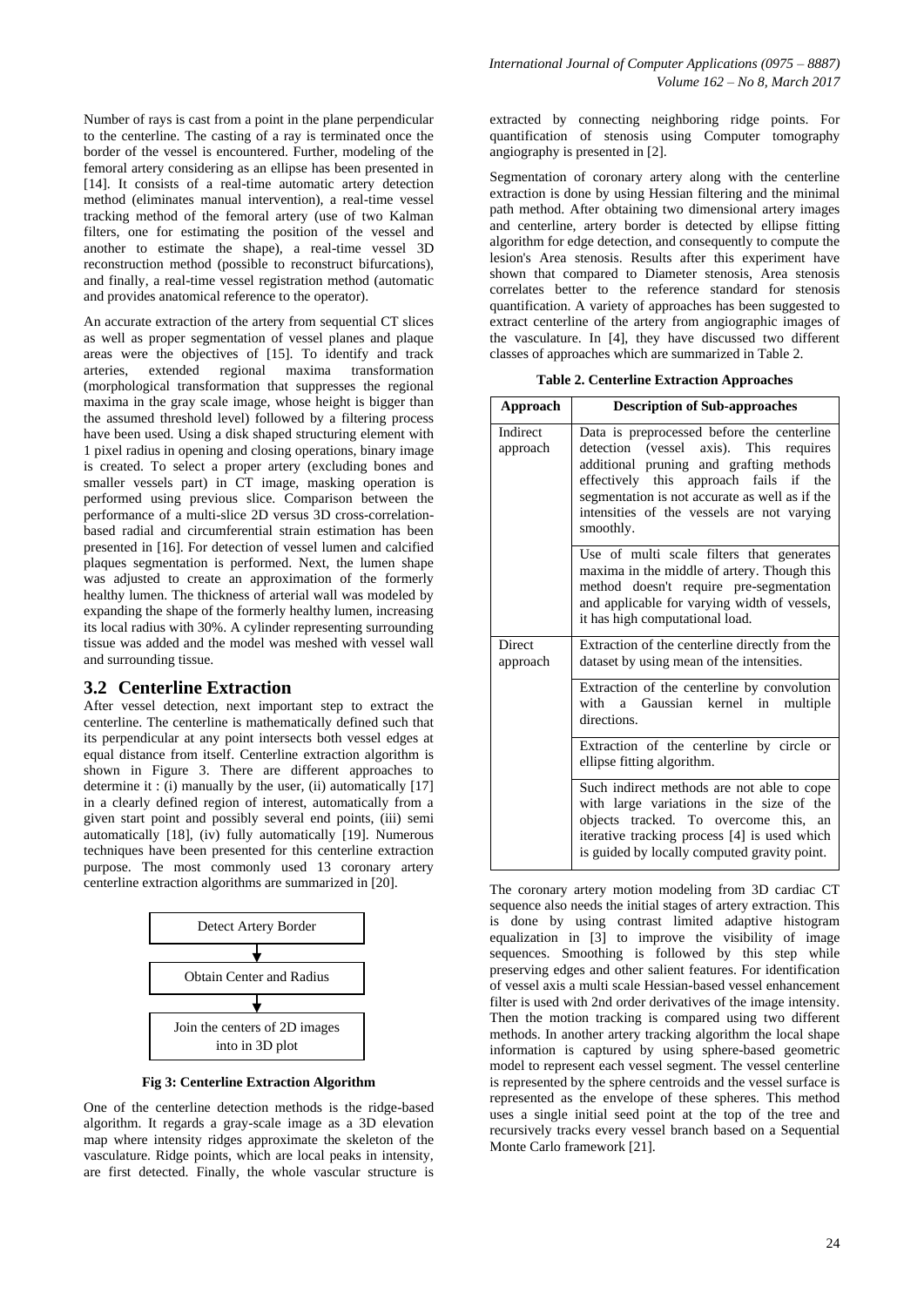Number of rays is cast from a point in the plane perpendicular to the centerline. The casting of a ray is terminated once the border of the vessel is encountered. Further, modeling of the femoral artery considering as an ellipse has been presented in [14]. It consists of a real-time automatic artery detection method (eliminates manual intervention), a real-time vessel tracking method of the femoral artery (use of two Kalman filters, one for estimating the position of the vessel and another to estimate the shape), a real-time vessel 3D reconstruction method (possible to reconstruct bifurcations), and finally, a real-time vessel registration method (automatic and provides anatomical reference to the operator).

An accurate extraction of the artery from sequential CT slices as well as proper segmentation of vessel planes and plaque areas were the objectives of [15]. To identify and track arteries, extended regional maxima transformation (morphological transformation that suppresses the regional maxima in the gray scale image, whose height is bigger than the assumed threshold level) followed by a filtering process have been used. Using a disk shaped structuring element with 1 pixel radius in opening and closing operations, binary image is created. To select a proper artery (excluding bones and smaller vessels part) in CT image, masking operation is performed using previous slice. Comparison between the performance of a multi-slice 2D versus 3D cross-correlationbased radial and circumferential strain estimation has been presented in [16]. For detection of vessel lumen and calcified plaques segmentation is performed. Next, the lumen shape was adjusted to create an approximation of the formerly healthy lumen. The thickness of arterial wall was modeled by expanding the shape of the formerly healthy lumen, increasing its local radius with 30%. A cylinder representing surrounding tissue was added and the model was meshed with vessel wall and surrounding tissue.

### **3.2 Centerline Extraction**

After vessel detection, next important step to extract the centerline. The centerline is mathematically defined such that its perpendicular at any point intersects both vessel edges at equal distance from itself. Centerline extraction algorithm is shown in Figure 3. There are different approaches to determine it : (i) manually by the user, (ii) automatically  $[17]$ in a clearly defined region of interest, automatically from a given start point and possibly several end points, (iii) semi automatically [18], (iv) fully automatically [19]. Numerous techniques have been presented for this centerline extraction purpose. The most commonly used 13 coronary artery centerline extraction algorithms are summarized in [20].



**Fig 3: Centerline Extraction Algorithm**

One of the centerline detection methods is the ridge-based algorithm. It regards a gray-scale image as a 3D elevation map where intensity ridges approximate the skeleton of the vasculature. Ridge points, which are local peaks in intensity, are first detected. Finally, the whole vascular structure is

extracted by connecting neighboring ridge points. For quantification of stenosis using Computer tomography angiography is presented in [2].

Segmentation of coronary artery along with the centerline extraction is done by using Hessian filtering and the minimal path method. After obtaining two dimensional artery images and centerline, artery border is detected by ellipse fitting algorithm for edge detection, and consequently to compute the lesion's Area stenosis. Results after this experiment have shown that compared to Diameter stenosis, Area stenosis correlates better to the reference standard for stenosis quantification. A variety of approaches has been suggested to extract centerline of the artery from angiographic images of the vasculature. In [4], they have discussed two different classes of approaches which are summarized in Table 2.

|  |  |  | <b>Table 2. Centerline Extraction Approaches</b> |
|--|--|--|--------------------------------------------------|
|--|--|--|--------------------------------------------------|

| Approach                  | <b>Description of Sub-approaches</b>                                                                                                                                                                                                                                                            |  |  |  |  |
|---------------------------|-------------------------------------------------------------------------------------------------------------------------------------------------------------------------------------------------------------------------------------------------------------------------------------------------|--|--|--|--|
| Indirect<br>approach      | Data is preprocessed before the centerline<br>(vessel axis).<br>detection<br>This<br>requires<br>additional pruning and grafting methods<br>effectively this approach fails if the<br>segmentation is not accurate as well as if the<br>intensities of the vessels are not varying<br>smoothly. |  |  |  |  |
|                           | Use of multi scale filters that generates<br>maxima in the middle of artery. Though this<br>method doesn't require pre-segmentation<br>and applicable for varying width of vessels,<br>it has high computational load.                                                                          |  |  |  |  |
| <b>Direct</b><br>approach | Extraction of the centerline directly from the<br>dataset by using mean of the intensities.                                                                                                                                                                                                     |  |  |  |  |
|                           | Extraction of the centerline by convolution<br>with a Gaussian kernel in multiple<br>directions.                                                                                                                                                                                                |  |  |  |  |
|                           | Extraction of the centerline by circle or<br>ellipse fitting algorithm.                                                                                                                                                                                                                         |  |  |  |  |
|                           | Such indirect methods are not able to cope<br>with large variations in the size of the<br>objects tracked. To overcome this, an<br>iterative tracking process [4] is used which<br>is guided by locally computed gravity point.                                                                 |  |  |  |  |

The coronary artery motion modeling from 3D cardiac CT sequence also needs the initial stages of artery extraction. This is done by using contrast limited adaptive histogram equalization in [3] to improve the visibility of image sequences. Smoothing is followed by this step while preserving edges and other salient features. For identification of vessel axis a multi scale Hessian-based vessel enhancement filter is used with 2nd order derivatives of the image intensity. Then the motion tracking is compared using two different methods. In another artery tracking algorithm the local shape information is captured by using sphere-based geometric model to represent each vessel segment. The vessel centerline is represented by the sphere centroids and the vessel surface is represented as the envelope of these spheres. This method uses a single initial seed point at the top of the tree and recursively tracks every vessel branch based on a Sequential Monte Carlo framework [21].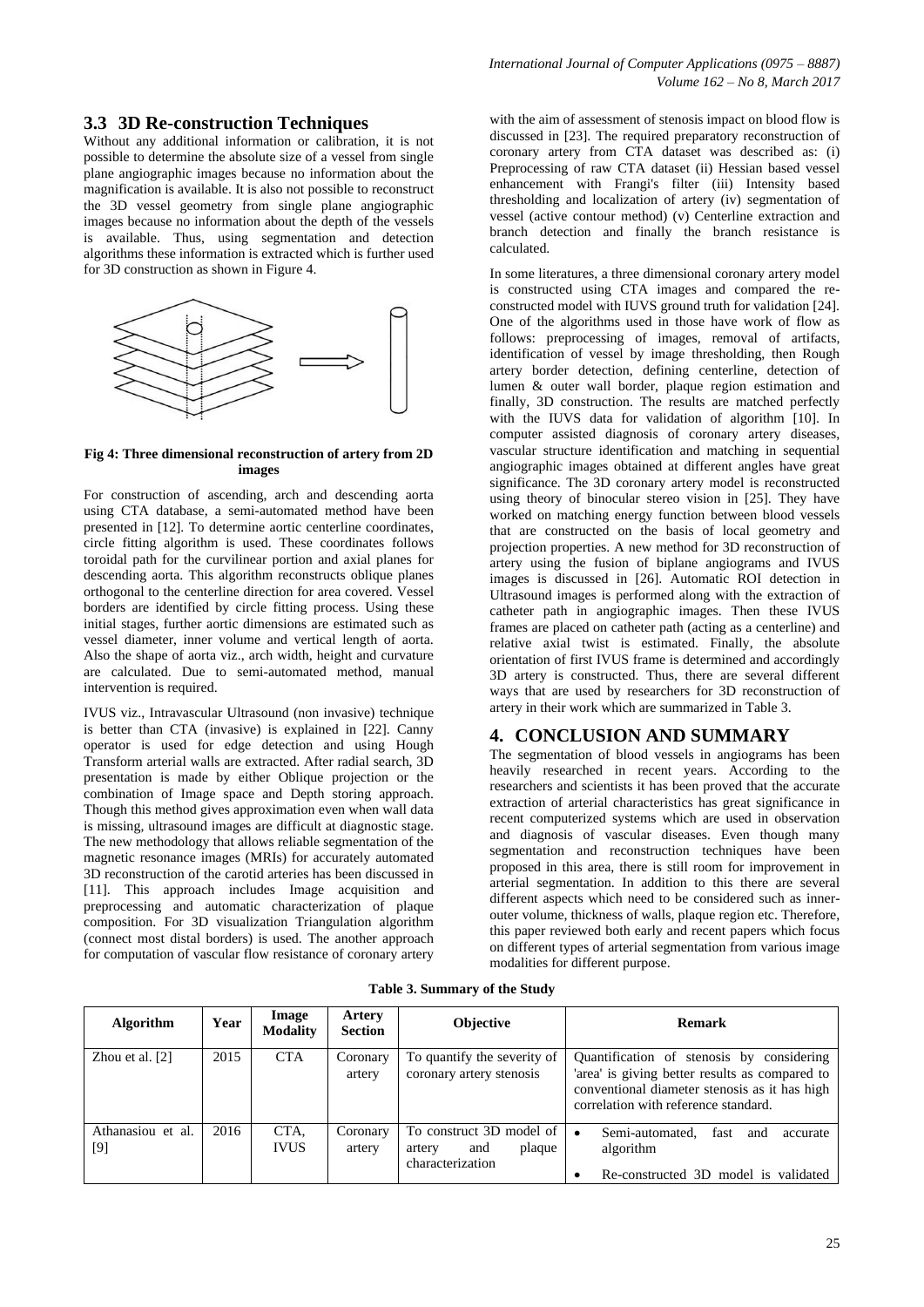Without any additional information or calibration, it is not possible to determine the absolute size of a vessel from single plane angiographic images because no information about the magnification is available. It is also not possible to reconstruct the 3D vessel geometry from single plane angiographic images because no information about the depth of the vessels is available. Thus, using segmentation and detection algorithms these information is extracted which is further used for 3D construction as shown in Figure 4.



#### **Fig 4: Three dimensional reconstruction of artery from 2D images**

For construction of ascending, arch and descending aorta using CTA database, a semi-automated method have been presented in [12]. To determine aortic centerline coordinates, circle fitting algorithm is used. These coordinates follows toroidal path for the curvilinear portion and axial planes for descending aorta. This algorithm reconstructs oblique planes orthogonal to the centerline direction for area covered. Vessel borders are identified by circle fitting process. Using these initial stages, further aortic dimensions are estimated such as vessel diameter, inner volume and vertical length of aorta. Also the shape of aorta viz., arch width, height and curvature are calculated. Due to semi-automated method, manual intervention is required.

IVUS viz., Intravascular Ultrasound (non invasive) technique is better than CTA (invasive) is explained in [22]. Canny operator is used for edge detection and using Hough Transform arterial walls are extracted. After radial search, 3D presentation is made by either Oblique projection or the combination of Image space and Depth storing approach. Though this method gives approximation even when wall data is missing, ultrasound images are difficult at diagnostic stage. The new methodology that allows reliable segmentation of the magnetic resonance images (MRIs) for accurately automated 3D reconstruction of the carotid arteries has been discussed in [11]. This approach includes Image acquisition and preprocessing and automatic characterization of plaque composition. For 3D visualization Triangulation algorithm (connect most distal borders) is used. The another approach for computation of vascular flow resistance of coronary artery with the aim of assessment of stenosis impact on blood flow is discussed in [23]. The required preparatory reconstruction of coronary artery from CTA dataset was described as: (i) Preprocessing of raw CTA dataset (ii) Hessian based vessel enhancement with Frangi's filter (iii) Intensity based thresholding and localization of artery (iv) segmentation of vessel (active contour method) (v) Centerline extraction and branch detection and finally the branch resistance is calculated.

In some literatures, a three dimensional coronary artery model is constructed using CTA images and compared the reconstructed model with IUVS ground truth for validation [24]. One of the algorithms used in those have work of flow as follows: preprocessing of images, removal of artifacts, identification of vessel by image thresholding, then Rough artery border detection, defining centerline, detection of lumen & outer wall border, plaque region estimation and finally, 3D construction. The results are matched perfectly with the IUVS data for validation of algorithm [10]. In computer assisted diagnosis of coronary artery diseases, vascular structure identification and matching in sequential angiographic images obtained at different angles have great significance. The 3D coronary artery model is reconstructed using theory of binocular stereo vision in [25]. They have worked on matching energy function between blood vessels that are constructed on the basis of local geometry and projection properties. A new method for 3D reconstruction of artery using the fusion of biplane angiograms and IVUS images is discussed in [26]. Automatic ROI detection in Ultrasound images is performed along with the extraction of catheter path in angiographic images. Then these IVUS frames are placed on catheter path (acting as a centerline) and relative axial twist is estimated. Finally, the absolute orientation of first IVUS frame is determined and accordingly 3D artery is constructed. Thus, there are several different ways that are used by researchers for 3D reconstruction of artery in their work which are summarized in Table 3.

### **4. CONCLUSION AND SUMMARY**

The segmentation of blood vessels in angiograms has been heavily researched in recent years. According to the researchers and scientists it has been proved that the accurate extraction of arterial characteristics has great significance in recent computerized systems which are used in observation and diagnosis of vascular diseases. Even though many segmentation and reconstruction techniques have been proposed in this area, there is still room for improvement in arterial segmentation. In addition to this there are several different aspects which need to be considered such as innerouter volume, thickness of walls, plaque region etc. Therefore, this paper reviewed both early and recent papers which focus on different types of arterial segmentation from various image modalities for different purpose.

| <b>Algorithm</b>         | Year | <b>Image</b><br><b>Modality</b> | Artery<br><b>Section</b> | Objective                                                               | <b>Remark</b>                                                                                                                                                                        |
|--------------------------|------|---------------------------------|--------------------------|-------------------------------------------------------------------------|--------------------------------------------------------------------------------------------------------------------------------------------------------------------------------------|
| Zhou et al. $[2]$        | 2015 | <b>CTA</b>                      | Coronary<br>artery       | To quantify the severity of<br>coronary artery stenosis                 | Quantification of stenosis by considering<br>'area' is giving better results as compared to<br>conventional diameter stenosis as it has high<br>correlation with reference standard. |
| Athanasiou et al.<br>[9] | 2016 | CTA.<br><b>IVUS</b>             | Coronary<br>artery       | To construct 3D model of<br>plaque<br>and<br>artery<br>characterization | Semi-automated.<br>fast<br>$\bullet$<br>and<br>accurate<br>algorithm<br>Re-constructed 3D model is validated<br>٠                                                                    |

**Table 3. Summary of the Study**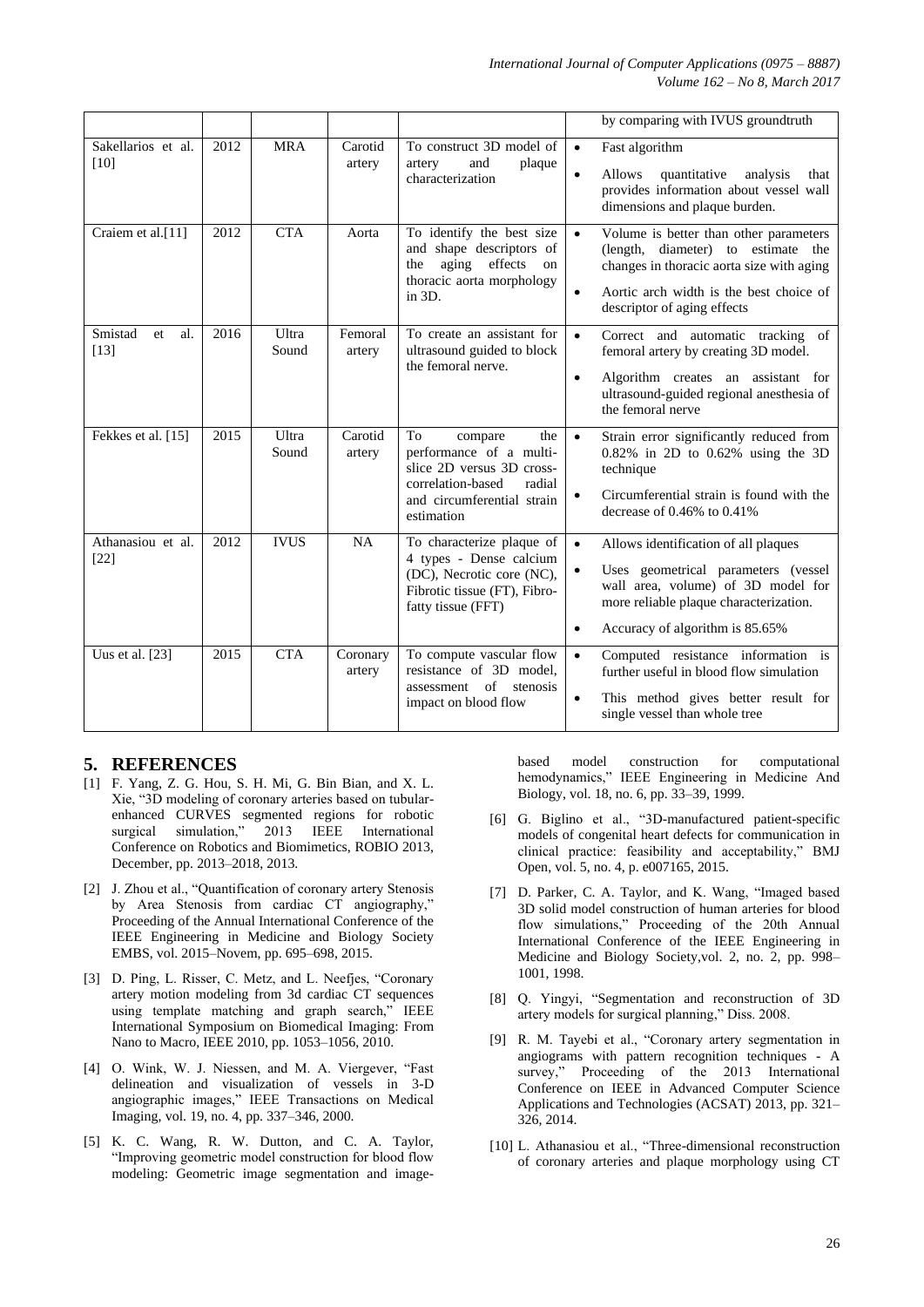|                                 |      |                |                    |                                                                                                                                                         | by comparing with IVUS groundtruth                                                                                                                                                                                            |
|---------------------------------|------|----------------|--------------------|---------------------------------------------------------------------------------------------------------------------------------------------------------|-------------------------------------------------------------------------------------------------------------------------------------------------------------------------------------------------------------------------------|
| Sakellarios et al.<br>$[10]$    | 2012 | <b>MRA</b>     | Carotid<br>artery  | To construct 3D model of<br>and<br>artery<br>plaque<br>characterization                                                                                 | Fast algorithm<br>$\bullet$<br>quantitative<br>Allows<br>analysis<br>that<br>$\bullet$<br>provides information about vessel wall<br>dimensions and plaque burden.                                                             |
| Craiem et al.[11]               | 2012 | <b>CTA</b>     | Aorta              | To identify the best size<br>and shape descriptors of<br>aging effects<br>on<br>the<br>thoracic aorta morphology<br>in $3D$ .                           | Volume is better than other parameters<br>$\bullet$<br>(length, diameter) to estimate the<br>changes in thoracic aorta size with aging<br>Aortic arch width is the best choice of<br>$\bullet$<br>descriptor of aging effects |
| Smistad<br>al.<br>et.<br>$[13]$ | 2016 | Ultra<br>Sound | Femoral<br>artery  | To create an assistant for<br>ultrasound guided to block<br>the femoral nerve.                                                                          | $\bullet$<br>Correct and automatic tracking of<br>femoral artery by creating 3D model.<br>Algorithm creates an assistant for<br>$\bullet$<br>ultrasound-guided regional anesthesia of<br>the femoral nerve                    |
| Fekkes et al. [15]              | 2015 | Ultra<br>Sound | Carotid<br>artery  | To<br>compare<br>the<br>performance of a multi-<br>slice 2D versus 3D cross-<br>correlation-based<br>radial<br>and circumferential strain<br>estimation | Strain error significantly reduced from<br>$\bullet$<br>$0.82\%$ in 2D to $0.62\%$ using the 3D<br>technique<br>Circumferential strain is found with the<br>$\bullet$<br>decrease of $0.46\%$ to $0.41\%$                     |
| Athanasiou et al.<br>[22]       | 2012 | <b>IVUS</b>    | <b>NA</b>          | To characterize plaque of<br>4 types - Dense calcium<br>(DC), Necrotic core (NC),<br>Fibrotic tissue (FT), Fibro-<br>fatty tissue (FFT)                 | Allows identification of all plaques<br>$\bullet$<br>Uses geometrical parameters (vessel<br>wall area, volume) of 3D model for<br>more reliable plaque characterization.<br>Accuracy of algorithm is 85.65%<br>$\bullet$      |
| Uus et al. [23]                 | 2015 | <b>CTA</b>     | Coronary<br>artery | To compute vascular flow<br>resistance of 3D model,<br>assessment of stenosis<br>impact on blood flow                                                   | Computed resistance information is<br>$\bullet$<br>further useful in blood flow simulation<br>This method gives better result for<br>$\bullet$<br>single vessel than whole tree                                               |

### **5. REFERENCES**

- [1] F. Yang, Z. G. Hou, S. H. Mi, G. Bin Bian, and X. L. Xie, "3D modeling of coronary arteries based on tubularenhanced CURVES segmented regions for robotic surgical simulation," 2013 IEEE International Conference on Robotics and Biomimetics, ROBIO 2013, December, pp. 2013–2018, 2013.
- [2] J. Zhou et al., "Quantification of coronary artery Stenosis by Area Stenosis from cardiac CT angiography,' Proceeding of the Annual International Conference of the IEEE Engineering in Medicine and Biology Society EMBS, vol. 2015–Novem, pp. 695–698, 2015.
- [3] D. Ping, L. Risser, C. Metz, and L. Neefjes, "Coronary artery motion modeling from 3d cardiac CT sequences using template matching and graph search," IEEE International Symposium on Biomedical Imaging: From Nano to Macro, IEEE 2010, pp. 1053–1056, 2010.
- [4] O. Wink, W. J. Niessen, and M. A. Viergever, "Fast delineation and visualization of vessels in 3-D angiographic images," IEEE Transactions on Medical Imaging, vol. 19, no. 4, pp. 337–346, 2000.
- [5] K. C. Wang, R. W. Dutton, and C. A. Taylor, "Improving geometric model construction for blood flow modeling: Geometric image segmentation and image-

based model construction for computational hemodynamics," IEEE Engineering in Medicine And Biology, vol. 18, no. 6, pp. 33–39, 1999.

- [6] G. Biglino et al., "3D-manufactured patient-specific models of congenital heart defects for communication in clinical practice: feasibility and acceptability," BMJ Open, vol. 5, no. 4, p. e007165, 2015.
- [7] D. Parker, C. A. Taylor, and K. Wang, "Imaged based 3D solid model construction of human arteries for blood flow simulations," Proceeding of the 20th Annual International Conference of the IEEE Engineering in Medicine and Biology Society,vol. 2, no. 2, pp. 998– 1001, 1998.
- [8] Q. Yingyi, "Segmentation and reconstruction of 3D artery models for surgical planning," Diss. 2008.
- [9] R. M. Tayebi et al., "Coronary artery segmentation in angiograms with pattern recognition techniques - A survey," Proceeding of the 2013 International Conference on IEEE in Advanced Computer Science Applications and Technologies (ACSAT) 2013, pp. 321– 326, 2014.
- [10] L. Athanasiou et al., "Three-dimensional reconstruction of coronary arteries and plaque morphology using CT